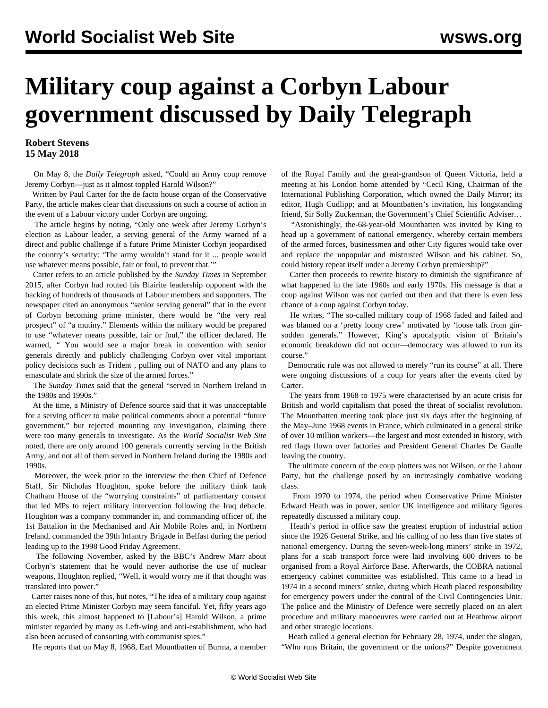## **Military coup against a Corbyn Labour government discussed by Daily Telegraph**

## **Robert Stevens 15 May 2018**

 On May 8, the *Daily Telegraph* asked, "Could an Army coup remove Jeremy Corbyn—just as it almost toppled Harold Wilson?"

 Written by Paul Carter for the de facto house organ of the Conservative Party, the article makes clear that discussions on such a course of action in the event of a Labour victory under Corbyn are ongoing.

 The article begins by noting, "Only one week after Jeremy Corbyn's election as Labour leader, a serving general of the Army warned of a direct and public challenge if a future Prime Minister Corbyn jeopardised the country's security: 'The army wouldn't stand for it ... people would use whatever means possible, fair or foul, to prevent that.'"

 Carter refers to an article published by the *Sunday Times* in September 2015, after Corbyn had routed his Blairite leadership opponent with the backing of hundreds of thousands of Labour members and supporters. The newspaper cited an anonymous "senior serving general" that in the event of Corbyn becoming prime minister, there would be "the very real prospect" of "a mutiny." Elements within the military would be prepared to use "whatever means possible, fair or foul," the officer declared. He warned, *"* You would see a major break in convention with senior generals directly and publicly challenging Corbyn over vital important policy decisions such as Trident *,* pulling out of NATO and any plans to emasculate and shrink the size of the armed forces."

 The *Sunday Times* said that the general "served in Northern Ireland in the 1980s and 1990s."

 At the time, a Ministry of Defence source said that it was unacceptable for a serving officer to make political comments about a potential "future government," but rejected mounting any investigation, claiming there were too many generals to investigate. As the *World Socialist Web Site* noted, there are only around 100 generals currently serving in the British Army, and not all of them served in Northern Ireland during the 1980s and 1990s.

 Moreover, the week prior to the interview the then Chief of Defence Staff, Sir Nicholas Houghton, spoke before the military think tank Chatham House of the "worrying constraints" of parliamentary consent that led MPs to reject military intervention following the Iraq debacle. Houghton was a company commander in, and commanding officer of, the 1st Battalion in the Mechanised and Air Mobile Roles and, in Northern Ireland, commanded the 39th Infantry Brigade in Belfast during the period leading up to the 1998 Good Friday Agreement.

 The following November, asked by the BBC's Andrew Marr about Corbyn's statement that he would never authorise the use of nuclear weapons, Houghton replied, "Well, it would worry me if that thought was translated into power."

 Carter raises none of this, but notes, "The idea of a military coup against an elected Prime Minister Corbyn may seem fanciful. Yet, fifty years ago this week, this almost happened to [Labour's] Harold Wilson, a prime minister regarded by many as Left-wing and anti-establishment, who had also been accused of consorting with communist spies."

He reports that on May 8, 1968, Earl Mountbatten of Burma, a member

of the Royal Family and the great-grandson of Queen Victoria, held a meeting at his London home attended by "Cecil King, Chairman of the International Publishing Corporation, which owned the Daily Mirror; its editor, Hugh Cudlipp; and at Mountbatten's invitation, his longstanding friend, Sir Solly Zuckerman, the Government's Chief Scientific Adviser…

 "Astonishingly, the-68-year-old Mountbatten was invited by King to head up a government of national emergency, whereby certain members of the armed forces, businessmen and other City figures would take over and replace the unpopular and mistrusted Wilson and his cabinet. So, could history repeat itself under a Jeremy Corbyn premiership?"

 Carter then proceeds to rewrite history to diminish the significance of what happened in the late 1960s and early 1970s. His message is that a coup against Wilson was not carried out then and that there is even less chance of a coup against Corbyn today.

 He writes, "The so-called military coup of 1968 faded and failed and was blamed on a 'pretty loony crew' motivated by 'loose talk from ginsodden generals." However, King's apocalyptic vision of Britain's economic breakdown did not occur—democracy was allowed to run its course."

 Democratic rule was not allowed to merely "run its course" at all. There were ongoing discussions of a coup for years after the events cited by Carter.

 The years from 1968 to 1975 were characterised by an acute crisis for British and world capitalism that posed the threat of socialist revolution. The Mountbatten meeting took place just six days after the beginning of the May–June 1968 events in France, which culminated in a general strike of over 10 million workers—the largest and most extended in history, with red flags flown over factories and President General Charles De Gaulle leaving the country.

 The ultimate concern of the coup plotters was not Wilson, or the Labour Party, but the challenge posed by an increasingly combative working class.

 From 1970 to 1974, the period when Conservative Prime Minister Edward Heath was in power, senior UK intelligence and military figures repeatedly discussed a military coup.

 Heath's period in office saw the greatest eruption of industrial action since the 1926 General Strike, and his calling of no less than five states of national emergency. During the seven-week-long miners' strike in 1972, plans for a scab transport force were laid involving 600 drivers to be organised from a Royal Airforce Base. Afterwards, the COBRA national emergency cabinet committee was established. This came to a head in 1974 in a second miners' strike, during which Heath placed responsibility for emergency powers under the control of the Civil Contingencies Unit. The police and the Ministry of Defence were secretly placed on an alert procedure and military manoeuvres were carried out at Heathrow airport and other strategic locations.

 Heath called a general election for February 28, 1974, under the slogan, "Who runs Britain, the government or the unions?" Despite government